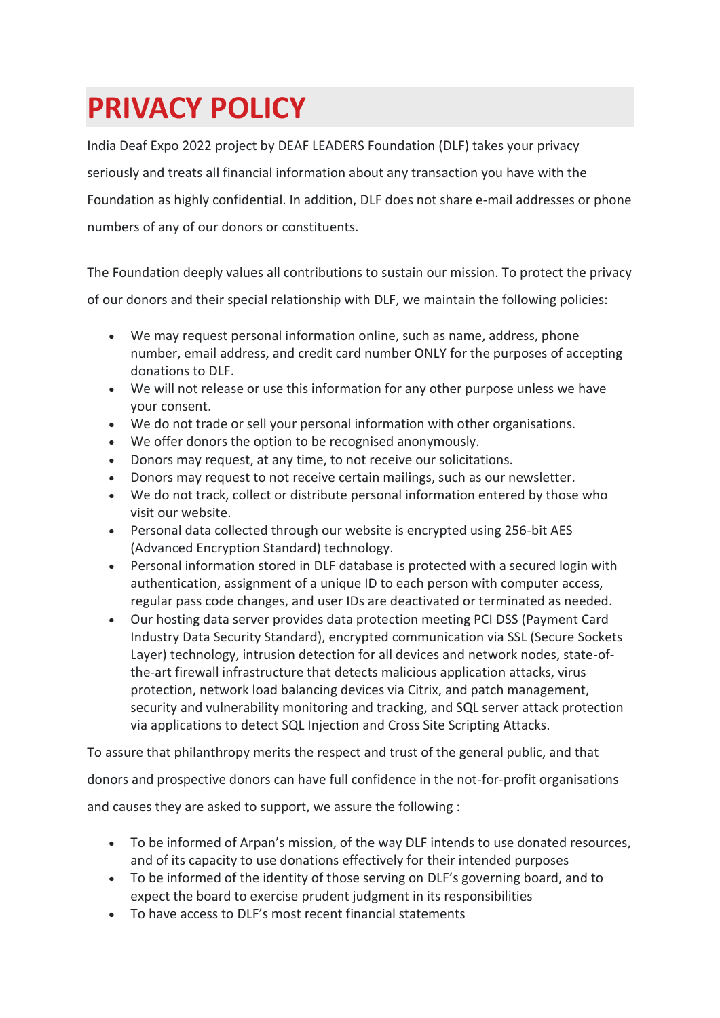# **PRIVACY POLICY**

India Deaf Expo 2022 project by DEAF LEADERS Foundation (DLF) takes your privacy seriously and treats all financial information about any transaction you have with the Foundation as highly confidential. In addition, DLF does not share e-mail addresses or phone numbers of any of our donors or constituents.

The Foundation deeply values all contributions to sustain our mission. To protect the privacy of our donors and their special relationship with DLF, we maintain the following policies:

- We may request personal information online, such as name, address, phone number, email address, and credit card number ONLY for the purposes of accepting donations to DLF.
- We will not release or use this information for any other purpose unless we have your consent.
- We do not trade or sell your personal information with other organisations.
- We offer donors the option to be recognised anonymously.
- Donors may request, at any time, to not receive our solicitations.
- Donors may request to not receive certain mailings, such as our newsletter.
- We do not track, collect or distribute personal information entered by those who visit our website.
- Personal data collected through our website is encrypted using 256-bit AES (Advanced Encryption Standard) technology.
- Personal information stored in DLF database is protected with a secured login with authentication, assignment of a unique ID to each person with computer access, regular pass code changes, and user IDs are deactivated or terminated as needed.
- Our hosting data server provides data protection meeting PCI DSS (Payment Card Industry Data Security Standard), encrypted communication via SSL (Secure Sockets Layer) technology, intrusion detection for all devices and network nodes, state-ofthe-art firewall infrastructure that detects malicious application attacks, virus protection, network load balancing devices via Citrix, and patch management, security and vulnerability monitoring and tracking, and SQL server attack protection via applications to detect SQL Injection and Cross Site Scripting Attacks.

To assure that philanthropy merits the respect and trust of the general public, and that

donors and prospective donors can have full confidence in the not-for-profit organisations

and causes they are asked to support, we assure the following :

- To be informed of Arpan's mission, of the way DLF intends to use donated resources, and of its capacity to use donations effectively for their intended purposes
- To be informed of the identity of those serving on DLF's governing board, and to expect the board to exercise prudent judgment in its responsibilities
- To have access to DLF's most recent financial statements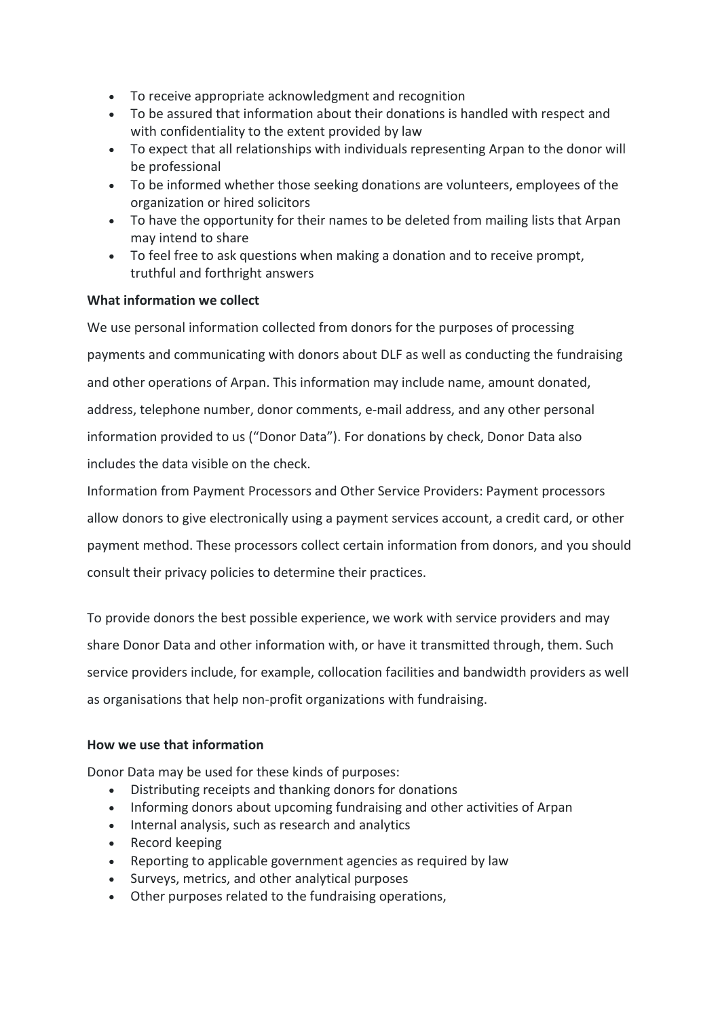- To receive appropriate acknowledgment and recognition
- To be assured that information about their donations is handled with respect and with confidentiality to the extent provided by law
- To expect that all relationships with individuals representing Arpan to the donor will be professional
- To be informed whether those seeking donations are volunteers, employees of the organization or hired solicitors
- To have the opportunity for their names to be deleted from mailing lists that Arpan may intend to share
- To feel free to ask questions when making a donation and to receive prompt, truthful and forthright answers

## **What information we collect**

We use personal information collected from donors for the purposes of processing payments and communicating with donors about DLF as well as conducting the fundraising and other operations of Arpan. This information may include name, amount donated, address, telephone number, donor comments, e-mail address, and any other personal information provided to us ("Donor Data"). For donations by check, Donor Data also includes the data visible on the check.

Information from Payment Processors and Other Service Providers: Payment processors allow donors to give electronically using a payment services account, a credit card, or other payment method. These processors collect certain information from donors, and you should consult their privacy policies to determine their practices.

To provide donors the best possible experience, we work with service providers and may share Donor Data and other information with, or have it transmitted through, them. Such service providers include, for example, collocation facilities and bandwidth providers as well as organisations that help non-profit organizations with fundraising.

## **How we use that information**

Donor Data may be used for these kinds of purposes:

- Distributing receipts and thanking donors for donations
- Informing donors about upcoming fundraising and other activities of Arpan
- Internal analysis, such as research and analytics
- Record keeping
- Reporting to applicable government agencies as required by law
- Surveys, metrics, and other analytical purposes
- Other purposes related to the fundraising operations,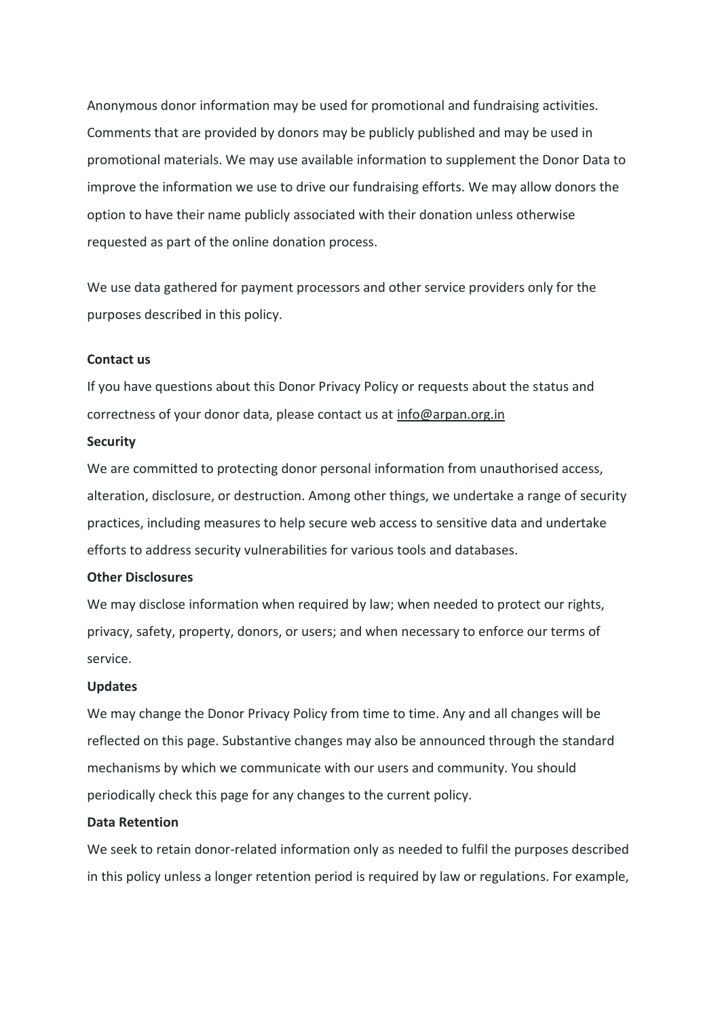Anonymous donor information may be used for promotional and fundraising activities. Comments that are provided by donors may be publicly published and may be used in promotional materials. We may use available information to supplement the Donor Data to improve the information we use to drive our fundraising efforts. We may allow donors the option to have their name publicly associated with their donation unless otherwise requested as part of the online donation process.

We use data gathered for payment processors and other service providers only for the purposes described in this policy.

#### **Contact us**

If you have questions about this Donor Privacy Policy or requests about the status and correctness of your donor data, please contact us at info@arpan.org.in

#### **Security**

We are committed to protecting donor personal information from unauthorised access, alteration, disclosure, or destruction. Among other things, we undertake a range of security practices, including measures to help secure web access to sensitive data and undertake efforts to address security vulnerabilities for various tools and databases.

### **Other Disclosures**

We may disclose information when required by law; when needed to protect our rights, privacy, safety, property, donors, or users; and when necessary to enforce our terms of service.

## **Updates**

We may change the Donor Privacy Policy from time to time. Any and all changes will be reflected on this page. Substantive changes may also be announced through the standard mechanisms by which we communicate with our users and community. You should periodically check this page for any changes to the current policy.

#### **Data Retention**

We seek to retain donor-related information only as needed to fulfil the purposes described in this policy unless a longer retention period is required by law or regulations. For example,